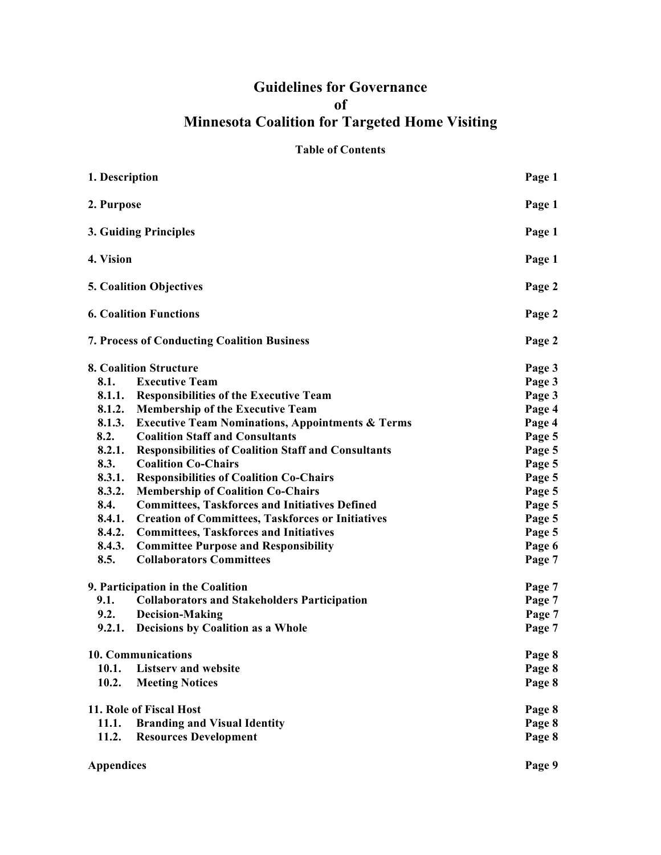## **Guidelines for Governance of Minnesota Coalition for Targeted Home Visiting**

#### **Table of Contents**

| 1. Description                                                                                                                                              |                                                             | Page 1                                         |                               |                                               |        |
|-------------------------------------------------------------------------------------------------------------------------------------------------------------|-------------------------------------------------------------|------------------------------------------------|-------------------------------|-----------------------------------------------|--------|
| 2. Purpose                                                                                                                                                  |                                                             | Page 1                                         |                               |                                               |        |
| 3. Guiding Principles<br>4. Vision<br><b>5. Coalition Objectives</b><br><b>6. Coalition Functions</b><br><b>7. Process of Conducting Coalition Business</b> |                                                             | Page 1<br>Page 1<br>Page 2<br>Page 2<br>Page 2 |                               |                                               |        |
|                                                                                                                                                             |                                                             |                                                | <b>8. Coalition Structure</b> |                                               | Page 3 |
|                                                                                                                                                             |                                                             |                                                | 8.1.                          | <b>Executive Team</b>                         | Page 3 |
|                                                                                                                                                             |                                                             |                                                |                               | 8.1.1. Responsibilities of the Executive Team | Page 3 |
|                                                                                                                                                             |                                                             |                                                | 8.1.2.                        | <b>Membership of the Executive Team</b>       | Page 4 |
| 8.1.3.                                                                                                                                                      | <b>Executive Team Nominations, Appointments &amp; Terms</b> | Page 4                                         |                               |                                               |        |
| 8.2.                                                                                                                                                        | <b>Coalition Staff and Consultants</b>                      | Page 5                                         |                               |                                               |        |
| 8.2.1.                                                                                                                                                      | <b>Responsibilities of Coalition Staff and Consultants</b>  | Page 5                                         |                               |                                               |        |
| 8.3.                                                                                                                                                        | <b>Coalition Co-Chairs</b>                                  | Page 5                                         |                               |                                               |        |
| 8.3.1.                                                                                                                                                      | <b>Responsibilities of Coalition Co-Chairs</b>              | Page 5                                         |                               |                                               |        |
| 8.3.2.                                                                                                                                                      | <b>Membership of Coalition Co-Chairs</b>                    | Page 5                                         |                               |                                               |        |
| 8.4.                                                                                                                                                        | <b>Committees, Taskforces and Initiatives Defined</b>       | Page 5                                         |                               |                                               |        |
| 8.4.1.                                                                                                                                                      | <b>Creation of Committees, Taskforces or Initiatives</b>    | Page 5                                         |                               |                                               |        |
| 8.4.2.                                                                                                                                                      | <b>Committees, Taskforces and Initiatives</b>               | Page 5                                         |                               |                                               |        |
| 8.4.3.                                                                                                                                                      | <b>Committee Purpose and Responsibility</b>                 | Page 6                                         |                               |                                               |        |
| 8.5.                                                                                                                                                        | <b>Collaborators Committees</b>                             | Page 7                                         |                               |                                               |        |
| 9. Participation in the Coalition                                                                                                                           |                                                             | Page 7                                         |                               |                                               |        |
| 9.1.                                                                                                                                                        | <b>Collaborators and Stakeholders Participation</b>         | Page 7                                         |                               |                                               |        |
| 9.2.                                                                                                                                                        | <b>Decision-Making</b>                                      | Page 7                                         |                               |                                               |        |
|                                                                                                                                                             | 9.2.1. Decisions by Coalition as a Whole                    | Page 7                                         |                               |                                               |        |
| 10. Communications                                                                                                                                          |                                                             | Page 8                                         |                               |                                               |        |
| 10.1.                                                                                                                                                       | <b>Listserv and website</b>                                 | Page 8                                         |                               |                                               |        |
| 10.2.                                                                                                                                                       | <b>Meeting Notices</b>                                      | Page 8                                         |                               |                                               |        |
| 11. Role of Fiscal Host                                                                                                                                     |                                                             | Page 8                                         |                               |                                               |        |
| 11.1.                                                                                                                                                       | <b>Branding and Visual Identity</b>                         | Page 8                                         |                               |                                               |        |
| 11.2.                                                                                                                                                       | <b>Resources Development</b>                                | Page 8                                         |                               |                                               |        |
|                                                                                                                                                             |                                                             |                                                |                               |                                               |        |

**Appendices Page 9**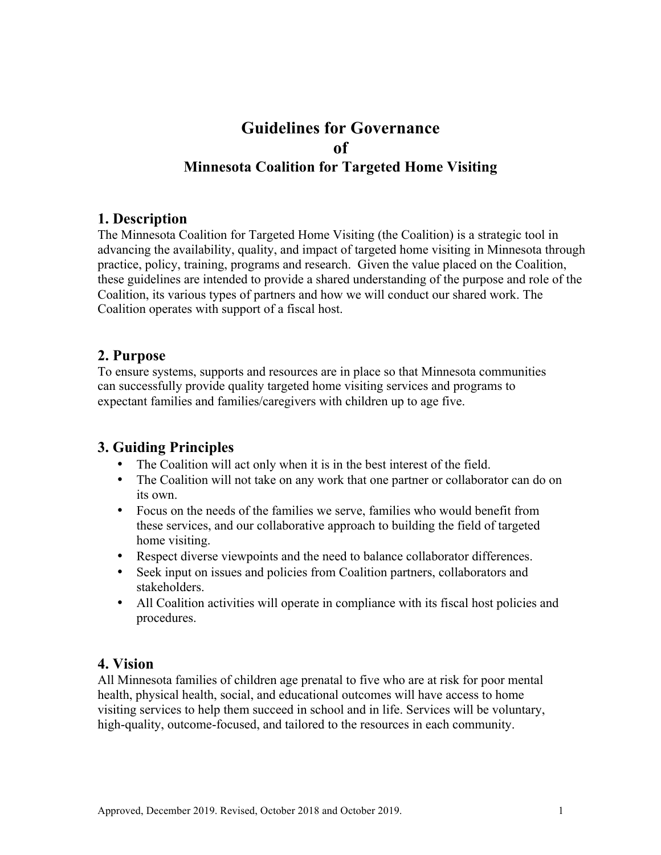# **Guidelines for Governance of Minnesota Coalition for Targeted Home Visiting**

### **1. Description**

The Minnesota Coalition for Targeted Home Visiting (the Coalition) is a strategic tool in advancing the availability, quality, and impact of targeted home visiting in Minnesota through practice, policy, training, programs and research. Given the value placed on the Coalition, these guidelines are intended to provide a shared understanding of the purpose and role of the Coalition, its various types of partners and how we will conduct our shared work. The Coalition operates with support of a fiscal host.

### **2. Purpose**

To ensure systems, supports and resources are in place so that Minnesota communities can successfully provide quality targeted home visiting services and programs to expectant families and families/caregivers with children up to age five.

### **3. Guiding Principles**

- The Coalition will act only when it is in the best interest of the field.
- The Coalition will not take on any work that one partner or collaborator can do on its own.
- Focus on the needs of the families we serve, families who would benefit from these services, and our collaborative approach to building the field of targeted home visiting.
- Respect diverse viewpoints and the need to balance collaborator differences.
- Seek input on issues and policies from Coalition partners, collaborators and stakeholders.
- All Coalition activities will operate in compliance with its fiscal host policies and procedures.

### **4. Vision**

All Minnesota families of children age prenatal to five who are at risk for poor mental health, physical health, social, and educational outcomes will have access to home visiting services to help them succeed in school and in life. Services will be voluntary, high-quality, outcome-focused, and tailored to the resources in each community.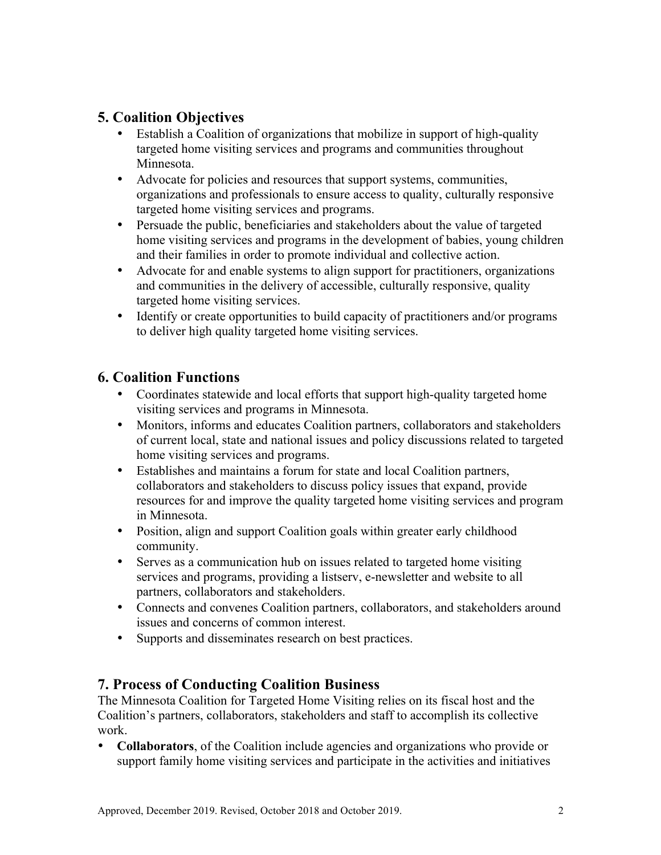### **5. Coalition Objectives**

- Establish a Coalition of organizations that mobilize in support of high-quality targeted home visiting services and programs and communities throughout Minnesota.
- Advocate for policies and resources that support systems, communities, organizations and professionals to ensure access to quality, culturally responsive targeted home visiting services and programs.
- Persuade the public, beneficiaries and stakeholders about the value of targeted home visiting services and programs in the development of babies, young children and their families in order to promote individual and collective action.
- Advocate for and enable systems to align support for practitioners, organizations and communities in the delivery of accessible, culturally responsive, quality targeted home visiting services.
- Identify or create opportunities to build capacity of practitioners and/or programs to deliver high quality targeted home visiting services.

### **6. Coalition Functions**

- Coordinates statewide and local efforts that support high-quality targeted home visiting services and programs in Minnesota.
- Monitors, informs and educates Coalition partners, collaborators and stakeholders of current local, state and national issues and policy discussions related to targeted home visiting services and programs.
- Establishes and maintains a forum for state and local Coalition partners, collaborators and stakeholders to discuss policy issues that expand, provide resources for and improve the quality targeted home visiting services and program in Minnesota.
- Position, align and support Coalition goals within greater early childhood community.
- Serves as a communication hub on issues related to targeted home visiting services and programs, providing a listserv, e-newsletter and website to all partners, collaborators and stakeholders.
- Connects and convenes Coalition partners, collaborators, and stakeholders around issues and concerns of common interest.
- Supports and disseminates research on best practices.

### **7. Process of Conducting Coalition Business**

The Minnesota Coalition for Targeted Home Visiting relies on its fiscal host and the Coalition's partners, collaborators, stakeholders and staff to accomplish its collective work.

• **Collaborators**, of the Coalition include agencies and organizations who provide or support family home visiting services and participate in the activities and initiatives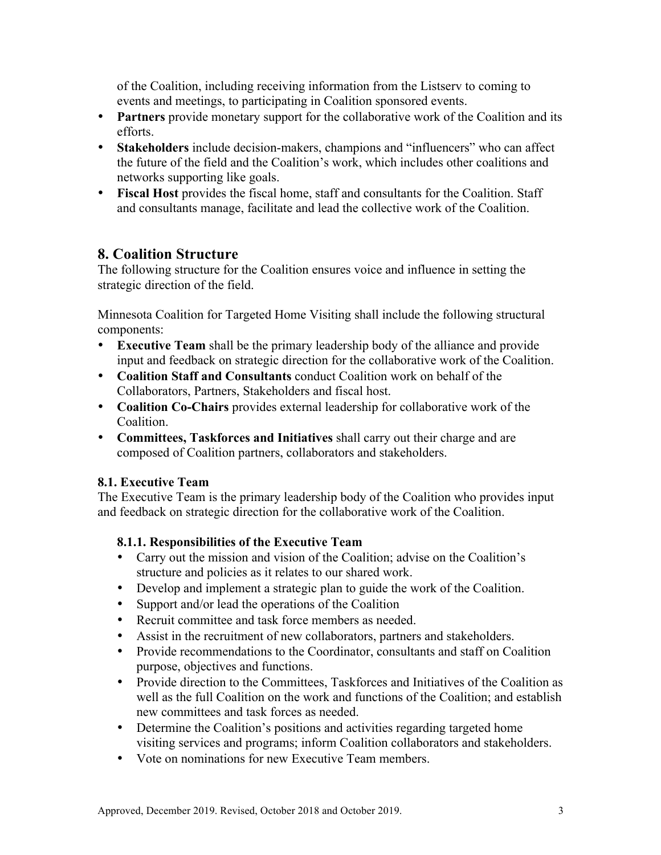of the Coalition, including receiving information from the Listserv to coming to events and meetings, to participating in Coalition sponsored events.

- **Partners** provide monetary support for the collaborative work of the Coalition and its efforts.
- **Stakeholders** include decision-makers, champions and "influencers" who can affect the future of the field and the Coalition's work, which includes other coalitions and networks supporting like goals.
- Fiscal Host provides the fiscal home, staff and consultants for the Coalition. Staff and consultants manage, facilitate and lead the collective work of the Coalition.

### **8. Coalition Structure**

The following structure for the Coalition ensures voice and influence in setting the strategic direction of the field.

Minnesota Coalition for Targeted Home Visiting shall include the following structural components:

- **Executive Team** shall be the primary leadership body of the alliance and provide input and feedback on strategic direction for the collaborative work of the Coalition.
- **Coalition Staff and Consultants** conduct Coalition work on behalf of the Collaborators, Partners, Stakeholders and fiscal host.
- **Coalition Co-Chairs** provides external leadership for collaborative work of the Coalition.
- **Committees, Taskforces and Initiatives** shall carry out their charge and are composed of Coalition partners, collaborators and stakeholders.

#### **8.1. Executive Team**

The Executive Team is the primary leadership body of the Coalition who provides input and feedback on strategic direction for the collaborative work of the Coalition.

### **8.1.1. Responsibilities of the Executive Team**

- Carry out the mission and vision of the Coalition; advise on the Coalition's structure and policies as it relates to our shared work.
- Develop and implement a strategic plan to guide the work of the Coalition.
- Support and/or lead the operations of the Coalition
- Recruit committee and task force members as needed.
- Assist in the recruitment of new collaborators, partners and stakeholders.
- Provide recommendations to the Coordinator, consultants and staff on Coalition purpose, objectives and functions.
- Provide direction to the Committees, Taskforces and Initiatives of the Coalition as well as the full Coalition on the work and functions of the Coalition; and establish new committees and task forces as needed.
- Determine the Coalition's positions and activities regarding targeted home visiting services and programs; inform Coalition collaborators and stakeholders.
- Vote on nominations for new Executive Team members.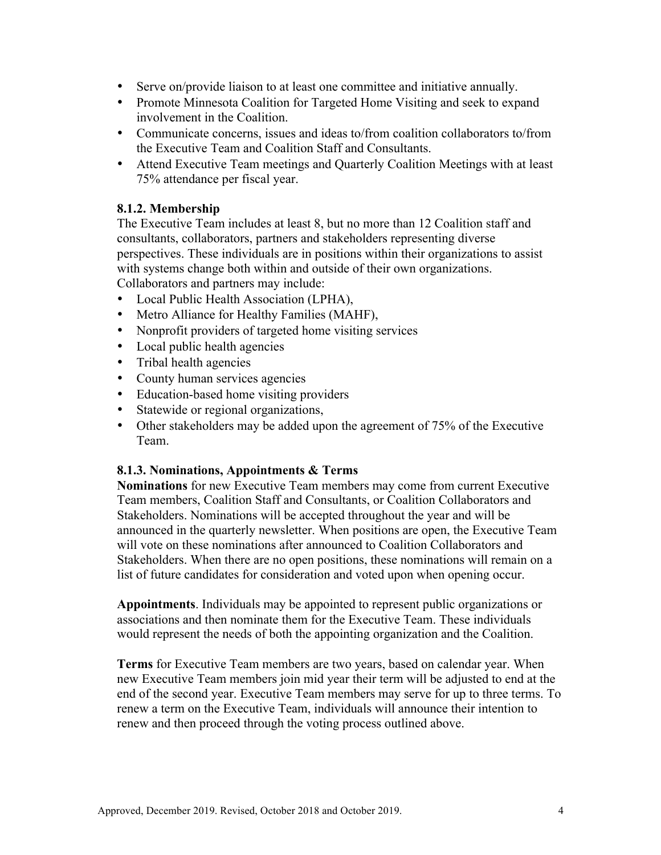- Serve on/provide liaison to at least one committee and initiative annually.
- Promote Minnesota Coalition for Targeted Home Visiting and seek to expand involvement in the Coalition.
- Communicate concerns, issues and ideas to/from coalition collaborators to/from the Executive Team and Coalition Staff and Consultants.
- Attend Executive Team meetings and Quarterly Coalition Meetings with at least 75% attendance per fiscal year.

#### **8.1.2. Membership**

The Executive Team includes at least 8, but no more than 12 Coalition staff and consultants, collaborators, partners and stakeholders representing diverse perspectives. These individuals are in positions within their organizations to assist with systems change both within and outside of their own organizations. Collaborators and partners may include:

- Local Public Health Association (LPHA),
- Metro Alliance for Healthy Families (MAHF),
- Nonprofit providers of targeted home visiting services
- Local public health agencies
- Tribal health agencies
- County human services agencies
- Education-based home visiting providers
- Statewide or regional organizations,
- Other stakeholders may be added upon the agreement of 75% of the Executive Team.

#### **8.1.3. Nominations, Appointments & Terms**

**Nominations** for new Executive Team members may come from current Executive Team members, Coalition Staff and Consultants, or Coalition Collaborators and Stakeholders. Nominations will be accepted throughout the year and will be announced in the quarterly newsletter. When positions are open, the Executive Team will vote on these nominations after announced to Coalition Collaborators and Stakeholders. When there are no open positions, these nominations will remain on a list of future candidates for consideration and voted upon when opening occur.

**Appointments**. Individuals may be appointed to represent public organizations or associations and then nominate them for the Executive Team. These individuals would represent the needs of both the appointing organization and the Coalition.

**Terms** for Executive Team members are two years, based on calendar year. When new Executive Team members join mid year their term will be adjusted to end at the end of the second year. Executive Team members may serve for up to three terms. To renew a term on the Executive Team, individuals will announce their intention to renew and then proceed through the voting process outlined above.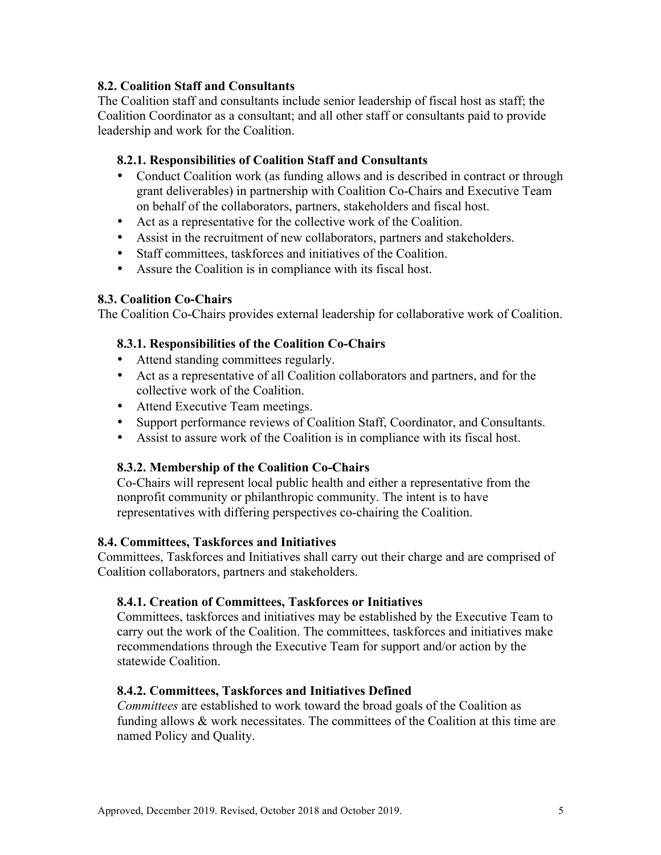#### **8.2. Coalition Staff and Consultants**

The Coalition staff and consultants include senior leadership of fiscal host as staff; the Coalition Coordinator as a consultant; and all other staff or consultants paid to provide leadership and work for the Coalition.

#### **8.2.1. Responsibilities of Coalition Staff and Consultants**

- Conduct Coalition work (as funding allows and is described in contract or through grant deliverables) in partnership with Coalition Co-Chairs and Executive Team on behalf of the collaborators, partners, stakeholders and fiscal host.
- Act as a representative for the collective work of the Coalition.
- Assist in the recruitment of new collaborators, partners and stakeholders.
- Staff committees, taskforces and initiatives of the Coalition.
- Assure the Coalition is in compliance with its fiscal host.

#### **8.3. Coalition Co-Chairs**

The Coalition Co-Chairs provides external leadership for collaborative work of Coalition.

#### **8.3.1. Responsibilities of the Coalition Co-Chairs**

- Attend standing committees regularly.
- Act as a representative of all Coalition collaborators and partners, and for the collective work of the Coalition.
- Attend Executive Team meetings.
- Support performance reviews of Coalition Staff, Coordinator, and Consultants.
- Assist to assure work of the Coalition is in compliance with its fiscal host.

#### **8.3.2. Membership of the Coalition Co-Chairs**

Co-Chairs will represent local public health and either a representative from the nonprofit community or philanthropic community. The intent is to have representatives with differing perspectives co-chairing the Coalition.

#### **8.4. Committees, Taskforces and Initiatives**

Committees, Taskforces and Initiatives shall carry out their charge and are comprised of Coalition collaborators, partners and stakeholders.

#### **8.4.1. Creation of Committees, Taskforces or Initiatives**

Committees, taskforces and initiatives may be established by the Executive Team to carry out the work of the Coalition. The committees, taskforces and initiatives make recommendations through the Executive Team for support and/or action by the statewide Coalition.

#### **8.4.2. Committees, Taskforces and Initiatives Defined**

*Committees* are established to work toward the broad goals of the Coalition as funding allows  $\&$  work necessitates. The committees of the Coalition at this time are named Policy and Quality.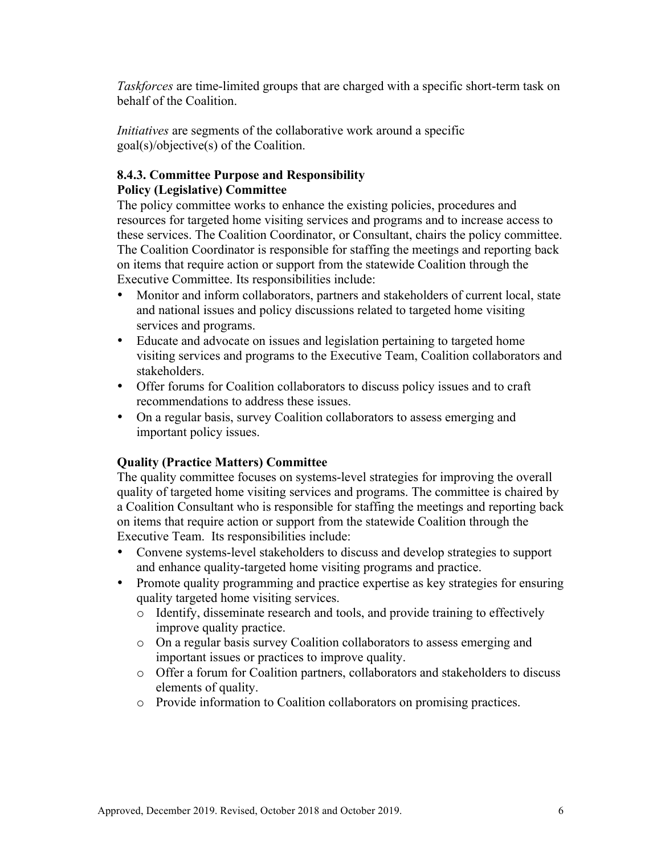*Taskforces* are time-limited groups that are charged with a specific short-term task on behalf of the Coalition.

*Initiatives* are segments of the collaborative work around a specific goal(s)/objective(s) of the Coalition.

#### **8.4.3. Committee Purpose and Responsibility Policy (Legislative) Committee**

The policy committee works to enhance the existing policies, procedures and resources for targeted home visiting services and programs and to increase access to these services. The Coalition Coordinator, or Consultant, chairs the policy committee. The Coalition Coordinator is responsible for staffing the meetings and reporting back on items that require action or support from the statewide Coalition through the Executive Committee. Its responsibilities include:

- Monitor and inform collaborators, partners and stakeholders of current local, state and national issues and policy discussions related to targeted home visiting services and programs.
- Educate and advocate on issues and legislation pertaining to targeted home visiting services and programs to the Executive Team, Coalition collaborators and stakeholders.
- Offer forums for Coalition collaborators to discuss policy issues and to craft recommendations to address these issues.
- On a regular basis, survey Coalition collaborators to assess emerging and important policy issues.

#### **Quality (Practice Matters) Committee**

The quality committee focuses on systems-level strategies for improving the overall quality of targeted home visiting services and programs. The committee is chaired by a Coalition Consultant who is responsible for staffing the meetings and reporting back on items that require action or support from the statewide Coalition through the Executive Team. Its responsibilities include:

- Convene systems-level stakeholders to discuss and develop strategies to support and enhance quality-targeted home visiting programs and practice.
- Promote quality programming and practice expertise as key strategies for ensuring quality targeted home visiting services.
	- o Identify, disseminate research and tools, and provide training to effectively improve quality practice.
	- o On a regular basis survey Coalition collaborators to assess emerging and important issues or practices to improve quality.
	- o Offer a forum for Coalition partners, collaborators and stakeholders to discuss elements of quality.
	- o Provide information to Coalition collaborators on promising practices.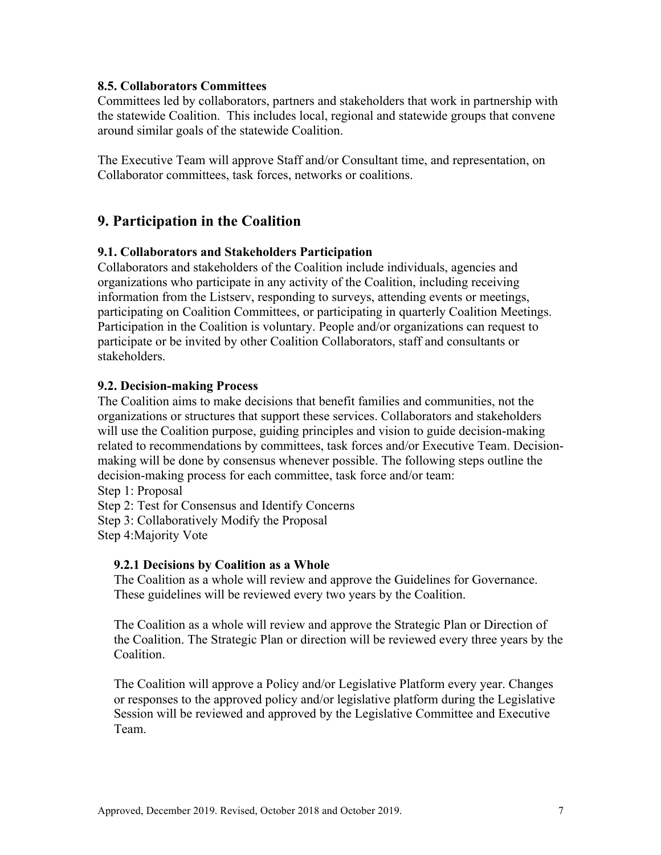#### **8.5. Collaborators Committees**

Committees led by collaborators, partners and stakeholders that work in partnership with the statewide Coalition. This includes local, regional and statewide groups that convene around similar goals of the statewide Coalition.

The Executive Team will approve Staff and/or Consultant time, and representation, on Collaborator committees, task forces, networks or coalitions.

### **9. Participation in the Coalition**

#### **9.1. Collaborators and Stakeholders Participation**

Collaborators and stakeholders of the Coalition include individuals, agencies and organizations who participate in any activity of the Coalition, including receiving information from the Listserv, responding to surveys, attending events or meetings, participating on Coalition Committees, or participating in quarterly Coalition Meetings. Participation in the Coalition is voluntary. People and/or organizations can request to participate or be invited by other Coalition Collaborators, staff and consultants or stakeholders.

#### **9.2. Decision-making Process**

The Coalition aims to make decisions that benefit families and communities, not the organizations or structures that support these services. Collaborators and stakeholders will use the Coalition purpose, guiding principles and vision to guide decision-making related to recommendations by committees, task forces and/or Executive Team. Decisionmaking will be done by consensus whenever possible. The following steps outline the decision-making process for each committee, task force and/or team:

Step 1: Proposal

Step 2: Test for Consensus and Identify Concerns

Step 3: Collaboratively Modify the Proposal

Step 4:Majority Vote

#### **9.2.1 Decisions by Coalition as a Whole**

 The Coalition as a whole will review and approve the Guidelines for Governance. These guidelines will be reviewed every two years by the Coalition.

 The Coalition as a whole will review and approve the Strategic Plan or Direction of the Coalition. The Strategic Plan or direction will be reviewed every three years by the Coalition.

 The Coalition will approve a Policy and/or Legislative Platform every year. Changes or responses to the approved policy and/or legislative platform during the Legislative Session will be reviewed and approved by the Legislative Committee and Executive Team.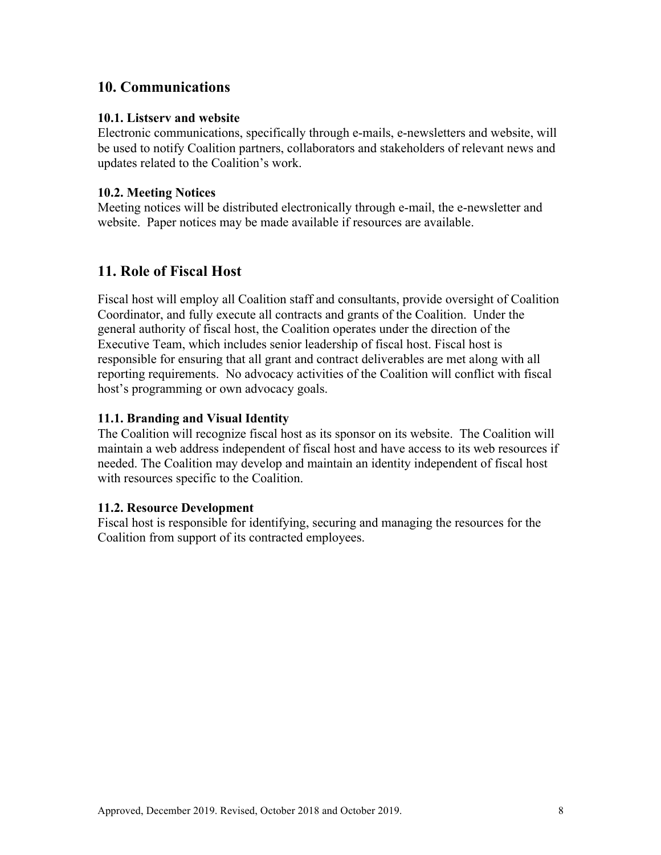### **10. Communications**

#### **10.1. Listserv and website**

Electronic communications, specifically through e-mails, e-newsletters and website, will be used to notify Coalition partners, collaborators and stakeholders of relevant news and updates related to the Coalition's work.

#### **10.2. Meeting Notices**

Meeting notices will be distributed electronically through e-mail, the e-newsletter and website. Paper notices may be made available if resources are available.

### **11. Role of Fiscal Host**

Fiscal host will employ all Coalition staff and consultants, provide oversight of Coalition Coordinator, and fully execute all contracts and grants of the Coalition. Under the general authority of fiscal host, the Coalition operates under the direction of the Executive Team, which includes senior leadership of fiscal host. Fiscal host is responsible for ensuring that all grant and contract deliverables are met along with all reporting requirements. No advocacy activities of the Coalition will conflict with fiscal host's programming or own advocacy goals.

#### **11.1. Branding and Visual Identity**

The Coalition will recognize fiscal host as its sponsor on its website. The Coalition will maintain a web address independent of fiscal host and have access to its web resources if needed. The Coalition may develop and maintain an identity independent of fiscal host with resources specific to the Coalition.

#### **11.2. Resource Development**

Fiscal host is responsible for identifying, securing and managing the resources for the Coalition from support of its contracted employees.